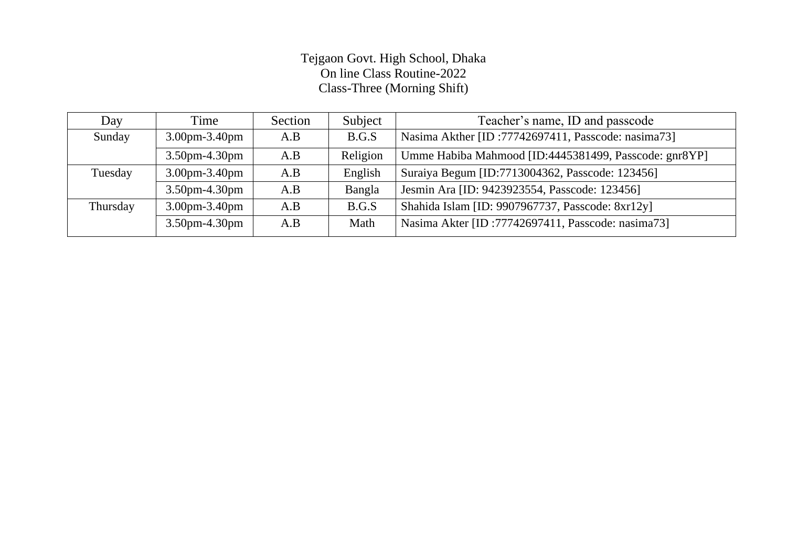## Tejgaon Govt. High School, Dhaka On line Class Routine-2022 Class-Three (Morning Shift)

| Day      | Time                 | Section | Subject  | Teacher's name, ID and passcode                       |
|----------|----------------------|---------|----------|-------------------------------------------------------|
| Sunday   | $3.00$ pm $-3.40$ pm | A.B     | B.G.S    | Nasima Akther [ID: 77742697411, Passcode: nasima 73]  |
|          | $3.50$ pm-4.30pm     | A.B     | Religion | Umme Habiba Mahmood [ID:4445381499, Passcode: gnr8YP] |
| Tuesday  | $3.00$ pm $-3.40$ pm | A.B     | English  | Suraiya Begum [ID:7713004362, Passcode: 123456]       |
|          | $3.50$ pm-4.30pm     | A.B     | Bangla   | Jesmin Ara [ID: 9423923554, Passcode: 123456]         |
| Thursday | $3.00$ pm $-3.40$ pm | A.B     | B.G.S    | Shahida Islam [ID: 9907967737, Passcode: 8xr12y]      |
|          | $3.50$ pm-4.30pm     | A.B     | Math     | Nasima Akter [ID: 77742697411, Passcode: nasima73]    |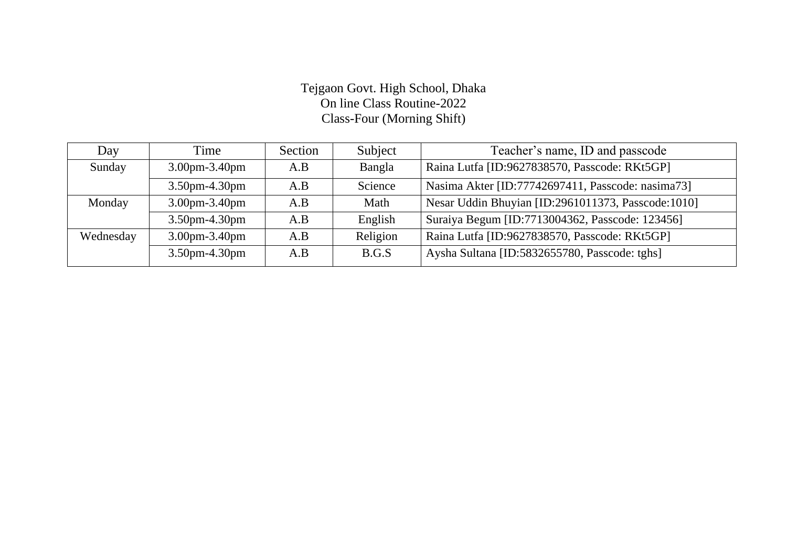### Tejgaon Govt. High School, Dhaka On line Class Routine-2022 Class-Four (Morning Shift)

| Day       | Time                 | Section | Subject  | Teacher's name, ID and passcode                    |
|-----------|----------------------|---------|----------|----------------------------------------------------|
| Sunday    | $3.00$ pm $-3.40$ pm | A.B     | Bangla   | Raina Lutfa [ID:9627838570, Passcode: RKt5GP]      |
|           | 3.50pm-4.30pm        | A.B     | Science  | Nasima Akter [ID:77742697411, Passcode: nasima73]  |
| Monday    | $3.00$ pm $-3.40$ pm | A.B     | Math     | Nesar Uddin Bhuyian [ID:2961011373, Passcode:1010] |
|           | $3.50$ pm-4.30pm     | A.B     | English  | Suraiya Begum [ID:7713004362, Passcode: 123456]    |
| Wednesday | $3.00$ pm $-3.40$ pm | A.B     | Religion | Raina Lutfa [ID:9627838570, Passcode: RKt5GP]      |
|           | 3.50pm-4.30pm        | A.B     | B.G.S    | Aysha Sultana [ID:5832655780, Passcode: tghs]      |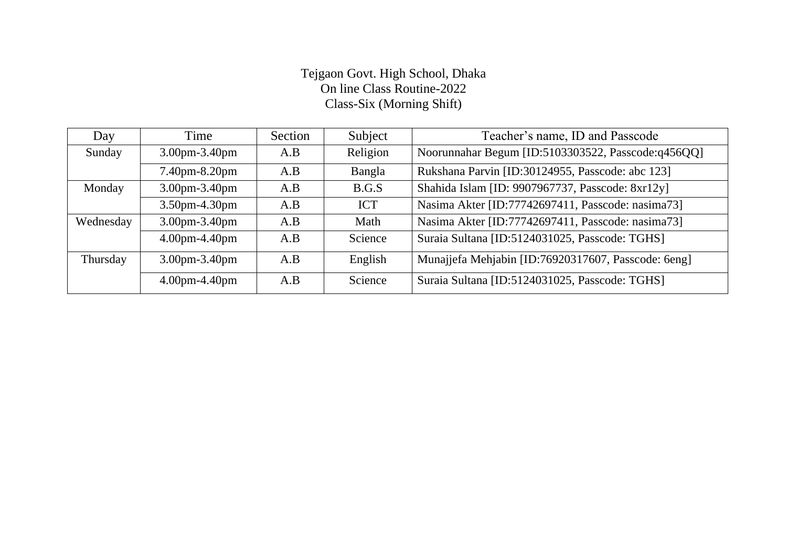#### Tejgaon Govt. High School, Dhaka On line Class Routine-2022 Class-Six (Morning Shift)

| Day       | Time                              | Section | Subject    | Teacher's name, ID and Passcode                     |
|-----------|-----------------------------------|---------|------------|-----------------------------------------------------|
| Sunday    | $3.00 \text{pm} - 3.40 \text{pm}$ | A.B     | Religion   | Noorunnahar Begum [ID:5103303522, Passcode:q456QQ]  |
|           | 7.40pm-8.20pm                     | A.B     | Bangla     | Rukshana Parvin [ID:30124955, Passcode: abc 123]    |
| Monday    | 3.00pm-3.40pm                     | A.B     | B.G.S      | Shahida Islam [ID: 9907967737, Passcode: 8xr12y]    |
|           | 3.50pm-4.30pm                     | A.B     | <b>ICT</b> | Nasima Akter [ID:77742697411, Passcode: nasima73]   |
| Wednesday | 3.00pm-3.40pm                     | A.B     | Math       | Nasima Akter [ID:77742697411, Passcode: nasima73]   |
|           | $4.00$ pm $-4.40$ pm              | A.B     | Science    | Suraia Sultana [ID:5124031025, Passcode: TGHS]      |
| Thursday  | $3.00 \text{pm} - 3.40 \text{pm}$ | A.B     | English    | Munajjefa Mehjabin [ID:76920317607, Passcode: 6eng] |
|           | $4.00$ pm $-4.40$ pm              | A.B     | Science    | Suraia Sultana [ID:5124031025, Passcode: TGHS]      |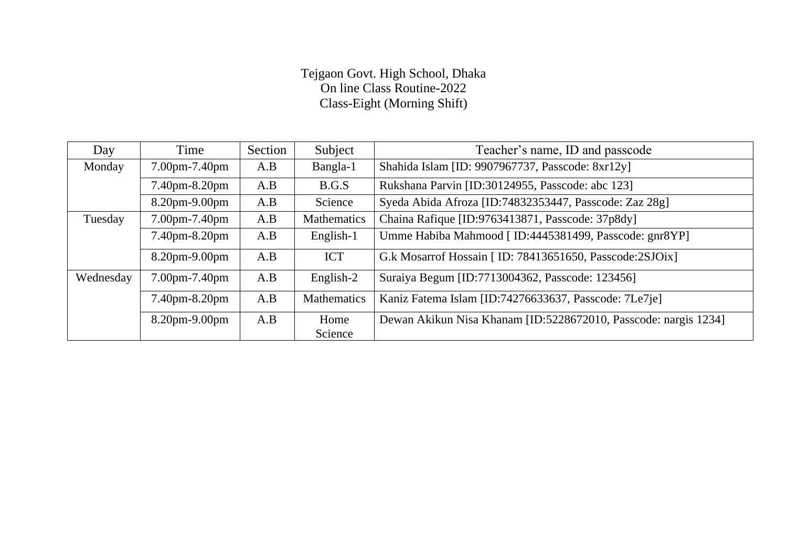### Tejgaon Govt. High School, Dhaka On line Class Routine-2022 Class-Eight (Morning Shift)

| Day       | Time          | Section | Subject            | Teacher's name, ID and passcode                                 |
|-----------|---------------|---------|--------------------|-----------------------------------------------------------------|
| Monday    | 7.00pm-7.40pm | A.B     | Bangla-1           | Shahida Islam [ID: 9907967737, Passcode: 8xr12y]                |
|           | 7.40pm-8.20pm | A.B     | B.G.S              | Rukshana Parvin [ID:30124955, Passcode: abc 123]                |
|           | 8.20pm-9.00pm | A.B     | Science            | Syeda Abida Afroza [ID:74832353447, Passcode: Zaz 28g]          |
| Tuesday   | 7.00pm-7.40pm | A.B     | <b>Mathematics</b> | Chaina Rafique [ID:9763413871, Passcode: 37p8dy]                |
|           | 7.40pm-8.20pm | A.B     | English-1          | Umme Habiba Mahmood [ ID:4445381499, Passcode: gnr8YP]          |
|           | 8.20pm-9.00pm | A.B     | <b>ICT</b>         | G.k Mosarrof Hossain [ ID: 78413651650, Passcode:2SJOix]        |
| Wednesday | 7.00pm-7.40pm | A.B     | English-2          | Suraiya Begum [ID:7713004362, Passcode: 123456]                 |
|           | 7.40pm-8.20pm | A.B     | <b>Mathematics</b> | Kaniz Fatema Islam [ID:74276633637, Passcode: 7Le7je]           |
|           | 8.20pm-9.00pm | A.B     | Home               | Dewan Akikun Nisa Khanam [ID:5228672010, Passcode: nargis 1234] |
|           |               |         | Science            |                                                                 |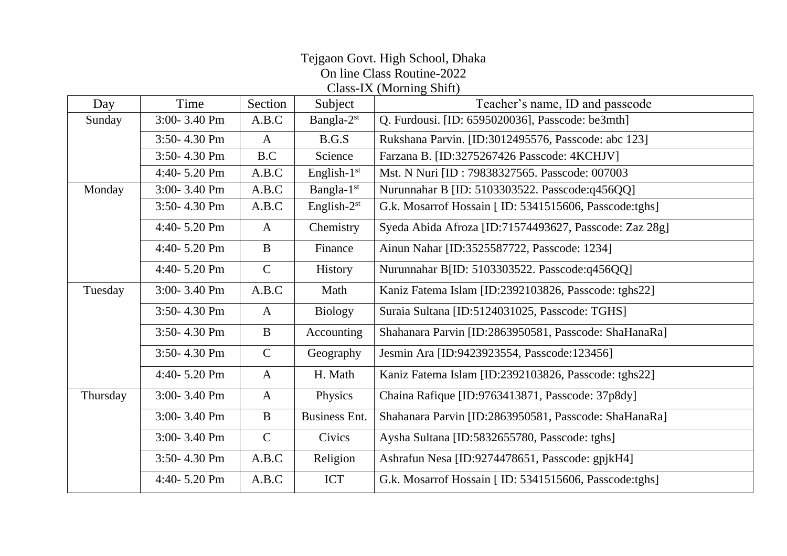# Tejgaon Govt. High School, Dhaka On line Class Routine-2022

Class-IX (Morning Shift)

| Day      | Time             | Section       | Subject                | Teacher's name, ID and passcode                        |
|----------|------------------|---------------|------------------------|--------------------------------------------------------|
| Sunday   | 3:00-3.40 Pm     | A.B.C         | Bangla-2st             | Q. Furdousi. [ID: 6595020036], Passcode: be3mth]       |
|          | 3:50-4.30 Pm     | $\mathbf{A}$  | B.G.S                  | Rukshana Parvin. [ID:3012495576, Passcode: abc 123]    |
|          | 3:50-4.30 Pm     | B.C           | Science                | Farzana B. [ID:3275267426 Passcode: 4KCHJV]            |
|          | 4:40-5.20 Pm     | A.B.C         | English- $1st$         | Mst. N Nuri [ID: 79838327565. Passcode: 007003         |
| Monday   | 3:00-3.40 Pm     | A.B.C         | Bangla-1 <sup>st</sup> | Nurunnahar B [ID: 5103303522. Passcode:q456QQ]         |
|          | 3:50-4.30 Pm     | A.B.C         | English- $2st$         | G.k. Mosarrof Hossain [ ID: 5341515606, Passcode:tghs] |
|          | 4:40-5.20 Pm     | $\mathbf{A}$  | Chemistry              | Syeda Abida Afroza [ID:71574493627, Passcode: Zaz 28g] |
|          | 4:40-5.20 Pm     | $\mathbf{B}$  | Finance                | Ainun Nahar [ID:3525587722, Passcode: 1234]            |
|          | 4:40-5.20 Pm     | $\mathsf{C}$  | History                | Nurunnahar B[ID: 5103303522. Passcode:q456QQ]          |
| Tuesday  | 3:00-3.40 Pm     | A.B.C         | Math                   | Kaniz Fatema Islam [ID:2392103826, Passcode: tghs22]   |
|          | 3:50-4.30 Pm     | $\mathbf{A}$  | <b>Biology</b>         | Suraia Sultana [ID:5124031025, Passcode: TGHS]         |
|          | 3:50-4.30 Pm     | $\mathbf{B}$  | Accounting             | Shahanara Parvin [ID:2863950581, Passcode: ShaHanaRa]  |
|          | 3:50-4.30 Pm     | $\mathbf C$   | Geography              | Jesmin Ara [ID:9423923554, Passcode:123456]            |
|          | 4:40- $5.20$ Pm  | $\mathbf{A}$  | H. Math                | Kaniz Fatema Islam [ID:2392103826, Passcode: tghs22]   |
| Thursday | $3:00 - 3.40$ Pm | $\mathbf{A}$  | Physics                | Chaina Rafique [ID:9763413871, Passcode: 37p8dy]       |
|          | $3:00 - 3.40$ Pm | $\mathbf{B}$  | <b>Business Ent.</b>   | Shahanara Parvin [ID:2863950581, Passcode: ShaHanaRa]  |
|          | 3:00-3.40 Pm     | $\mathcal{C}$ | Civics                 | Aysha Sultana [ID:5832655780, Passcode: tghs]          |
|          | 3:50-4.30 Pm     | A.B.C         | Religion               | Ashrafun Nesa [ID:9274478651, Passcode: gpjkH4]        |
|          | 4:40-5.20 Pm     | A.B.C         | ICT                    | G.k. Mosarrof Hossain [ ID: 5341515606, Passcode:tghs] |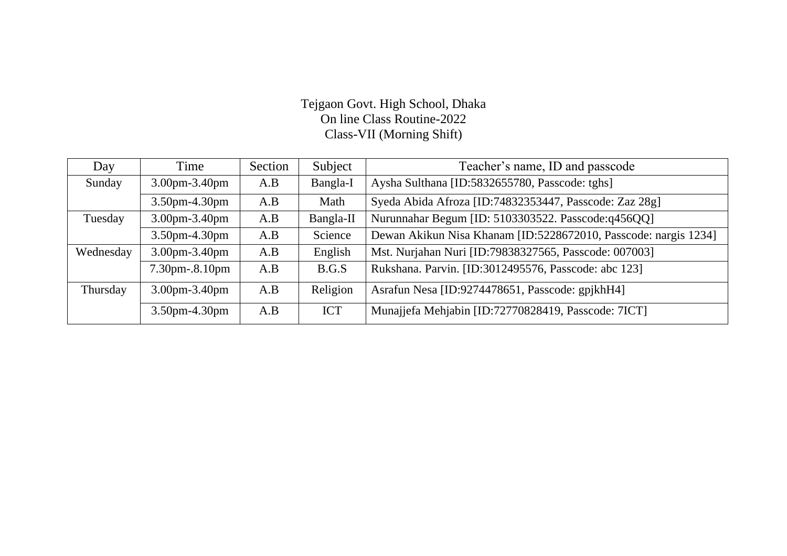### Tejgaon Govt. High School, Dhaka On line Class Routine-2022 Class-VII (Morning Shift)

| Day       | Time                              | Section | Subject    | Teacher's name, ID and passcode                                 |
|-----------|-----------------------------------|---------|------------|-----------------------------------------------------------------|
| Sunday    | $3.00$ pm $-3.40$ pm              | A.B     | Bangla-I   | Aysha Sulthana [ID:5832655780, Passcode: tghs]                  |
|           | 3.50pm-4.30pm                     | A.B     | Math       | Syeda Abida Afroza [ID:74832353447, Passcode: Zaz 28g]          |
| Tuesday   | 3.00pm-3.40pm                     | A.B     | Bangla-II  | Nurunnahar Begum [ID: 5103303522. Passcode:q456QQ]              |
|           | $3.50$ pm-4.30pm                  | A.B     | Science    | Dewan Akikun Nisa Khanam [ID:5228672010, Passcode: nargis 1234] |
| Wednesday | $3.00$ pm $-3.40$ pm              | A.B     | English    | Mst. Nurjahan Nuri [ID:79838327565, Passcode: 007003]           |
|           | $7.30 \text{pm} - 8.10 \text{pm}$ | A.B     | B.G.S      | Rukshana. Parvin. [ID:3012495576, Passcode: abc 123]            |
| Thursday  | 3.00pm-3.40pm                     | A.B     | Religion   | Asrafun Nesa [ID:9274478651, Passcode: gpjkhH4]                 |
|           | $3.50$ pm-4.30pm                  | A.B     | <b>ICT</b> | Munajjefa Mehjabin [ID:72770828419, Passcode: 7ICT]             |